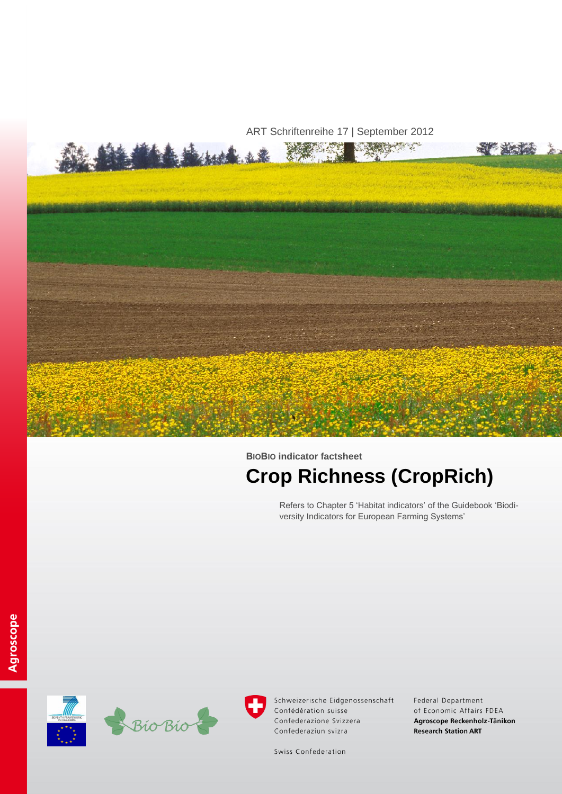

# **BIOBIO indicator factsheet**

# **Crop Richness (CropRich)**

Refers to Chapter 5 'Habitat indicators' of the Guidebook 'Biodiversity Indicators for European Farming Systems'





Schweizerische Eidgenossenschaft Confédération suisse Confederazione Svizzera Confederaziun svizra

Federal Department of Economic Affairs FDEA Agroscope Reckenholz-Tänikon **Research Station ART** 

Swiss Confederation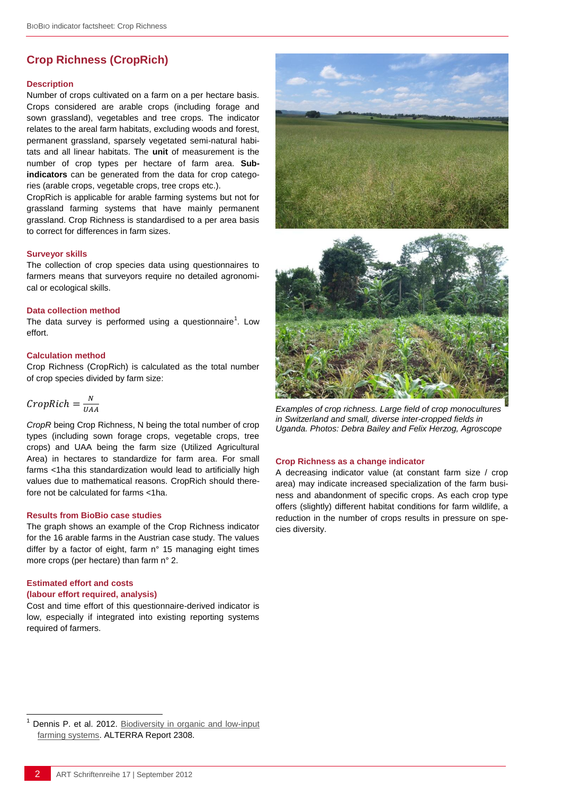# **Crop Richness (CropRich)**

#### **Description**

Number of crops cultivated on a farm on a per hectare basis. Crops considered are arable crops (including forage and sown grassland), vegetables and tree crops. The indicator relates to the areal farm habitats, excluding woods and forest, permanent grassland, sparsely vegetated semi-natural habitats and all linear habitats. The **unit** of measurement is the number of crop types per hectare of farm area. **Subindicators** can be generated from the data for crop categories (arable crops, vegetable crops, tree crops etc.).

CropRich is applicable for arable farming systems but not for grassland farming systems that have mainly permanent grassland. Crop Richness is standardised to a per area basis to correct for differences in farm sizes.

#### **Surveyor skills**

The collection of crop species data using questionnaires to farmers means that surveyors require no detailed agronomical or ecological skills.

#### **Data collection method**

The data survey is performed using a questionnaire<sup>1</sup>. Low effort.

#### **Calculation method**

Crop Richness (CropRich) is calculated as the total number of crop species divided by farm size:

$$
CropRich = \frac{N}{UAA}
$$

*CropR* being Crop Richness, N being the total number of crop types (including sown forage crops, vegetable crops, tree crops) and UAA being the farm size (Utilized Agricultural Area) in hectares to standardize for farm area. For small farms <1ha this standardization would lead to artificially high values due to mathematical reasons. CropRich should therefore not be calculated for farms <1ha.

#### **Results from BioBio case studies**

The graph shows an example of the Crop Richness indicator for the 16 arable farms in the Austrian case study. The values differ by a factor of eight, farm n° 15 managing eight times more crops (per hectare) than farm n° 2.

#### **Estimated effort and costs**

l

#### **(labour effort required, analysis)**

Cost and time effort of this questionnaire-derived indicator is low, especially if integrated into existing reporting systems required of farmers.





*Examples of crop richness. Large field of crop monocultures in Switzerland and small, diverse inter-cropped fields in Uganda. Photos: Debra Bailey and Felix Herzog, Agroscope*

#### **Crop Richness as a change indicator**

A decreasing indicator value (at constant farm size / crop area) may indicate increased specialization of the farm business and abandonment of specific crops. As each crop type offers (slightly) different habitat conditions for farm wildlife, a reduction in the number of crops results in pressure on species diversity.

Dennis P. et al. 2012. Biodiversity in organic and low-input [farming systems.](http://www.biobio-indicator.org/deliverables.php) ALTERRA Report 2308.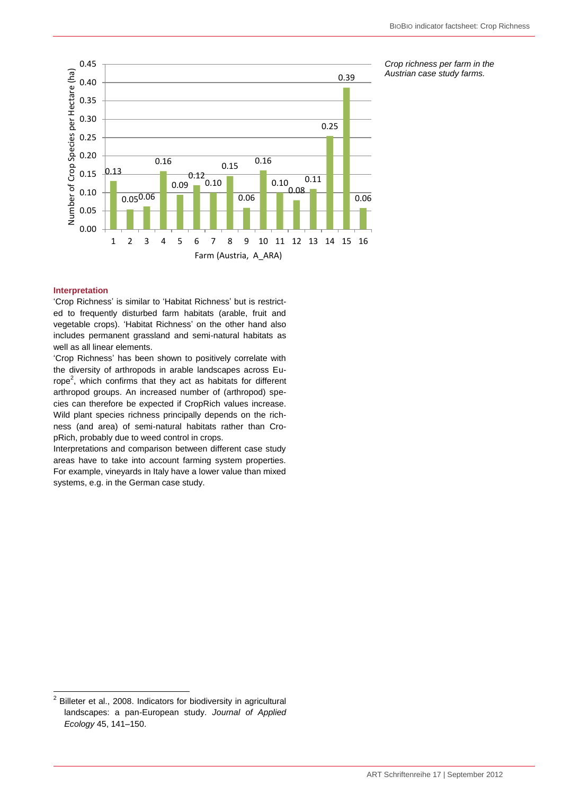

*Crop richness per farm in the Austrian case study farms.*

# **Interpretation**

 $\overline{a}$ 

'Crop Richness' is similar to 'Habitat Richness' but is restricted to frequently disturbed farm habitats (arable, fruit and vegetable crops). 'Habitat Richness' on the other hand also includes permanent grassland and semi-natural habitats as well as all linear elements.

'Crop Richness' has been shown to positively correlate with the diversity of arthropods in arable landscapes across Europe<sup>2</sup>, which confirms that they act as habitats for different arthropod groups. An increased number of (arthropod) species can therefore be expected if CropRich values increase. Wild plant species richness principally depends on the richness (and area) of semi-natural habitats rather than CropRich, probably due to weed control in crops.

Interpretations and comparison between different case study areas have to take into account farming system properties. For example, vineyards in Italy have a lower value than mixed systems, e.g. in the German case study.

 $2$  Billeter et al., 2008. Indicators for biodiversity in agricultural landscapes: a pan-European study. *Journal of Applied Ecology* 45, 141–150.